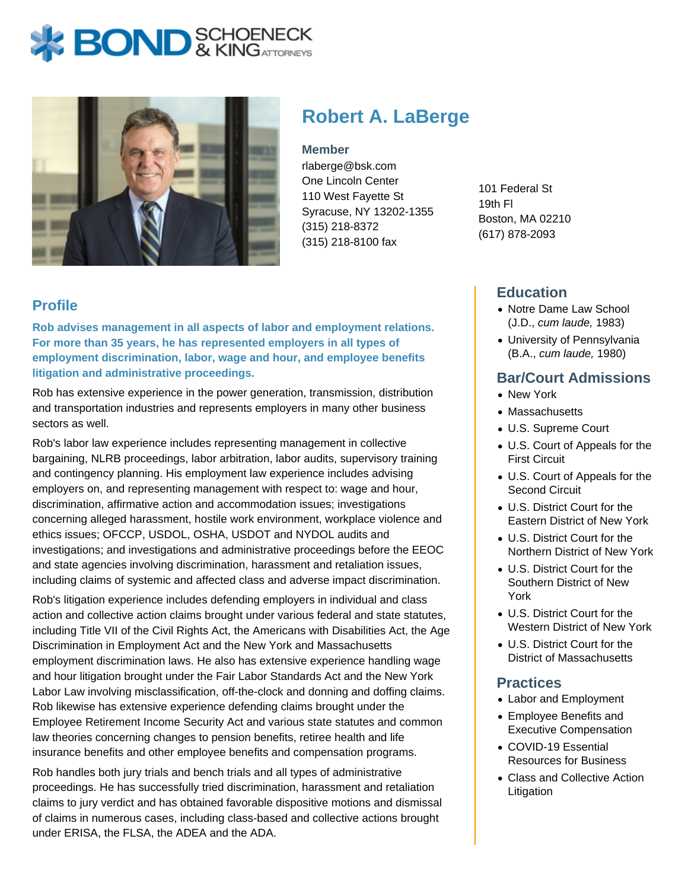# **BOND** & KING ATTORNECK



## **Robert A. LaBerge**

#### **Member**

rlaberge@bsk.com One Lincoln Center 110 West Fayette St Syracuse, NY 13202-1355 (315) 218-8372 (315) 218-8100 fax

101 Federal St 19th Fl Boston, MA 02210 (617) 878-2093

#### **Education**

- Notre Dame Law School (J.D., cum laude, 1983)
- University of Pennsylvania (B.A., cum laude, 1980)

#### **Bar/Court Admissions**

- New York
- Massachusetts
- U.S. Supreme Court
- U.S. Court of Appeals for the First Circuit
- U.S. Court of Appeals for the Second Circuit
- U.S. District Court for the Eastern District of New York
- U.S. District Court for the Northern District of New York
- U.S. District Court for the Southern District of New York
- U.S. District Court for the Western District of New York
- U.S. District Court for the District of Massachusetts

#### **Practices**

- Labor and Employment
- Employee Benefits and Executive Compensation
- COVID-19 Essential Resources for Business
- Class and Collective Action Litigation

### **Profile**

**Rob advises management in all aspects of labor and employment relations. For more than 35 years, he has represented employers in all types of employment discrimination, labor, wage and hour, and employee benefits litigation and administrative proceedings.**

Rob has extensive experience in the power generation, transmission, distribution and transportation industries and represents employers in many other business sectors as well.

Rob's labor law experience includes representing management in collective bargaining, NLRB proceedings, labor arbitration, labor audits, supervisory training and contingency planning. His employment law experience includes advising employers on, and representing management with respect to: wage and hour, discrimination, affirmative action and accommodation issues; investigations concerning alleged harassment, hostile work environment, workplace violence and ethics issues; OFCCP, USDOL, OSHA, USDOT and NYDOL audits and investigations; and investigations and administrative proceedings before the EEOC and state agencies involving discrimination, harassment and retaliation issues, including claims of systemic and affected class and adverse impact discrimination.

Rob's litigation experience includes defending employers in individual and class action and collective action claims brought under various federal and state statutes, including Title VII of the Civil Rights Act, the Americans with Disabilities Act, the Age Discrimination in Employment Act and the New York and Massachusetts employment discrimination laws. He also has extensive experience handling wage and hour litigation brought under the Fair Labor Standards Act and the New York Labor Law involving misclassification, off-the-clock and donning and doffing claims. Rob likewise has extensive experience defending claims brought under the Employee Retirement Income Security Act and various state statutes and common law theories concerning changes to pension benefits, retiree health and life insurance benefits and other employee benefits and compensation programs.

Rob handles both jury trials and bench trials and all types of administrative proceedings. He has successfully tried discrimination, harassment and retaliation claims to jury verdict and has obtained favorable dispositive motions and dismissal of claims in numerous cases, including class-based and collective actions brought under ERISA, the FLSA, the ADEA and the ADA.